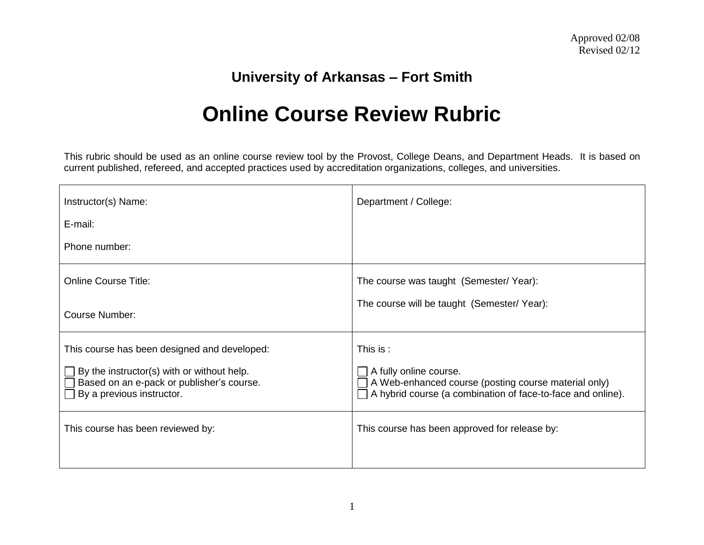## **University of Arkansas – Fort Smith**

## **Online Course Review Rubric**

This rubric should be used as an online course review tool by the Provost, College Deans, and Department Heads. It is based on current published, refereed, and accepted practices used by accreditation organizations, colleges, and universities.

| Instructor(s) Name:                                                                                                         | Department / College:                                                                                                                         |
|-----------------------------------------------------------------------------------------------------------------------------|-----------------------------------------------------------------------------------------------------------------------------------------------|
| E-mail:                                                                                                                     |                                                                                                                                               |
| Phone number:                                                                                                               |                                                                                                                                               |
| <b>Online Course Title:</b>                                                                                                 | The course was taught (Semester/Year):                                                                                                        |
| <b>Course Number:</b>                                                                                                       | The course will be taught (Semester/Year):                                                                                                    |
| This course has been designed and developed:                                                                                | This is:                                                                                                                                      |
| $\Box$ By the instructor(s) with or without help.<br>Based on an e-pack or publisher's course.<br>By a previous instructor. | A fully online course.<br>A Web-enhanced course (posting course material only)<br>A hybrid course (a combination of face-to-face and online). |
| This course has been reviewed by:                                                                                           | This course has been approved for release by:                                                                                                 |
|                                                                                                                             |                                                                                                                                               |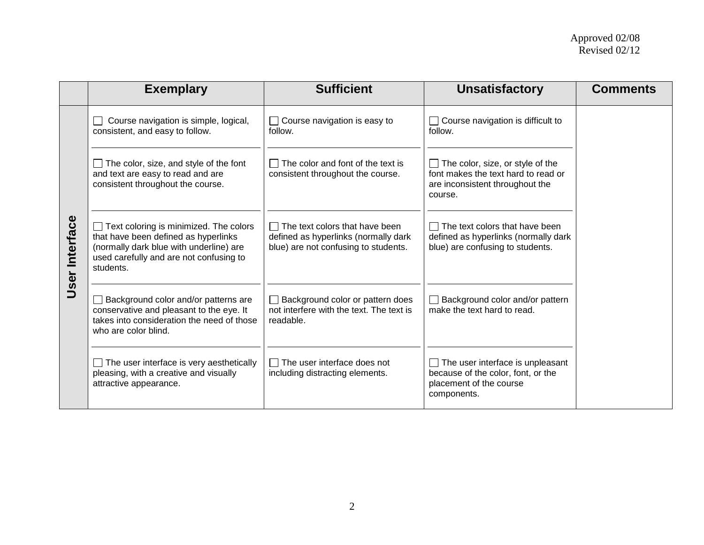|                   | <b>Exemplary</b>                                                                                                                                                                  | <b>Sufficient</b>                                                                                              | <b>Unsatisfactory</b>                                                                                                                 | <b>Comments</b> |
|-------------------|-----------------------------------------------------------------------------------------------------------------------------------------------------------------------------------|----------------------------------------------------------------------------------------------------------------|---------------------------------------------------------------------------------------------------------------------------------------|-----------------|
|                   | Course navigation is simple, logical,<br>consistent, and easy to follow.                                                                                                          | Course navigation is easy to<br>follow.                                                                        | Course navigation is difficult to<br>$\mathsf{L}$<br>follow.                                                                          |                 |
|                   | The color, size, and style of the font<br>and text are easy to read and are<br>consistent throughout the course.                                                                  | The color and font of the text is<br>consistent throughout the course.                                         | The color, size, or style of the<br>$\mathbf{I}$<br>font makes the text hard to read or<br>are inconsistent throughout the<br>course. |                 |
| Interface<br>User | Text coloring is minimized. The colors<br>that have been defined as hyperlinks<br>(normally dark blue with underline) are<br>used carefully and are not confusing to<br>students. | The text colors that have been<br>defined as hyperlinks (normally dark<br>blue) are not confusing to students. | The text colors that have been<br>$\perp$<br>defined as hyperlinks (normally dark<br>blue) are confusing to students.                 |                 |
|                   | Background color and/or patterns are<br>conservative and pleasant to the eye. It<br>takes into consideration the need of those<br>who are color blind.                            | Background color or pattern does<br>not interfere with the text. The text is<br>readable.                      | Background color and/or pattern<br>make the text hard to read.                                                                        |                 |
|                   | The user interface is very aesthetically<br>pleasing, with a creative and visually<br>attractive appearance.                                                                      | The user interface does not<br>including distracting elements.                                                 | The user interface is unpleasant<br>because of the color, font, or the<br>placement of the course<br>components.                      |                 |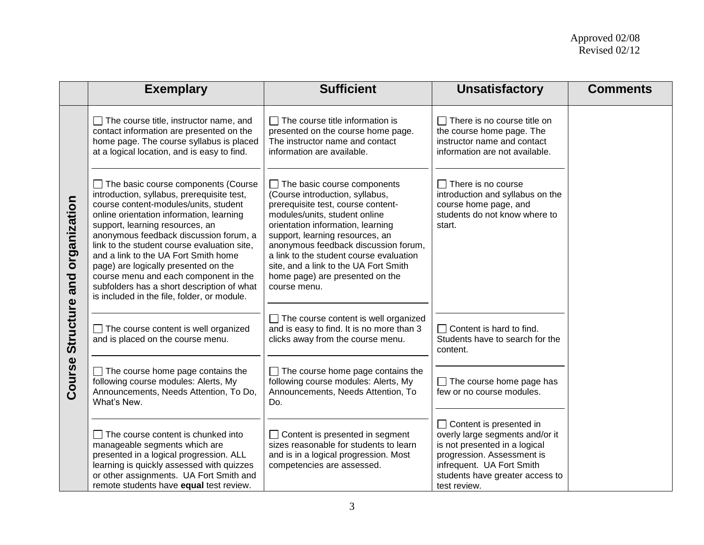|                     | <b>Exemplary</b>                                                                                                                                                                                                                                                                                                                                                                                                                                                                                                                | <b>Sufficient</b>                                                                                                                                                                                                                                                                                                                                                                                   | <b>Unsatisfactory</b>                                                                                                                                                                                            | <b>Comments</b> |
|---------------------|---------------------------------------------------------------------------------------------------------------------------------------------------------------------------------------------------------------------------------------------------------------------------------------------------------------------------------------------------------------------------------------------------------------------------------------------------------------------------------------------------------------------------------|-----------------------------------------------------------------------------------------------------------------------------------------------------------------------------------------------------------------------------------------------------------------------------------------------------------------------------------------------------------------------------------------------------|------------------------------------------------------------------------------------------------------------------------------------------------------------------------------------------------------------------|-----------------|
| organization<br>and | $\Box$ The course title, instructor name, and<br>contact information are presented on the<br>home page. The course syllabus is placed<br>at a logical location, and is easy to find.                                                                                                                                                                                                                                                                                                                                            | $\Box$ The course title information is<br>presented on the course home page.<br>The instructor name and contact<br>information are available.                                                                                                                                                                                                                                                       | $\Box$ There is no course title on<br>the course home page. The<br>instructor name and contact<br>information are not available.                                                                                 |                 |
|                     | $\Box$ The basic course components (Course<br>introduction, syllabus, prerequisite test,<br>course content-modules/units, student<br>online orientation information, learning<br>support, learning resources, an<br>anonymous feedback discussion forum, a<br>link to the student course evaluation site,<br>and a link to the UA Fort Smith home<br>page) are logically presented on the<br>course menu and each component in the<br>subfolders has a short description of what<br>is included in the file, folder, or module. | $\Box$ The basic course components<br>(Course introduction, syllabus,<br>prerequisite test, course content-<br>modules/units, student online<br>orientation information, learning<br>support, learning resources, an<br>anonymous feedback discussion forum,<br>a link to the student course evaluation<br>site, and a link to the UA Fort Smith<br>home page) are presented on the<br>course menu. | $\Box$ There is no course<br>introduction and syllabus on the<br>course home page, and<br>students do not know where to<br>start.                                                                                |                 |
| Structure           | $\Box$ The course content is well organized<br>and is placed on the course menu.                                                                                                                                                                                                                                                                                                                                                                                                                                                | $\Box$ The course content is well organized<br>and is easy to find. It is no more than 3<br>clicks away from the course menu.                                                                                                                                                                                                                                                                       | $\Box$ Content is hard to find.<br>Students have to search for the<br>content.                                                                                                                                   |                 |
| Course              | $\Box$ The course home page contains the<br>following course modules: Alerts, My<br>Announcements, Needs Attention, To Do,<br>What's New.                                                                                                                                                                                                                                                                                                                                                                                       | $\Box$ The course home page contains the<br>following course modules: Alerts, My<br>Announcements, Needs Attention, To<br>Do.                                                                                                                                                                                                                                                                       | $\Box$ The course home page has<br>few or no course modules.                                                                                                                                                     |                 |
|                     | $\Box$ The course content is chunked into<br>manageable segments which are<br>presented in a logical progression. ALL<br>learning is quickly assessed with quizzes<br>or other assignments. UA Fort Smith and<br>remote students have equal test review.                                                                                                                                                                                                                                                                        | $\Box$ Content is presented in segment<br>sizes reasonable for students to learn<br>and is in a logical progression. Most<br>competencies are assessed.                                                                                                                                                                                                                                             | $\Box$ Content is presented in<br>overly large segments and/or it<br>is not presented in a logical<br>progression. Assessment is<br>infrequent. UA Fort Smith<br>students have greater access to<br>test review. |                 |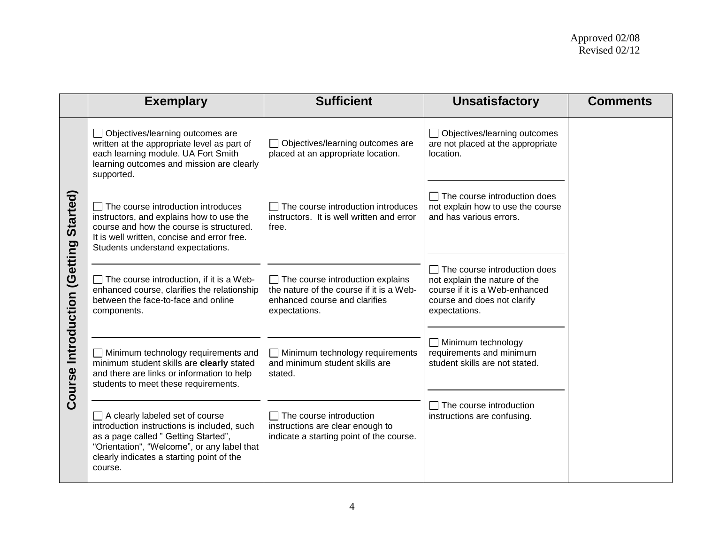|                              | <b>Exemplary</b>                                                                                                                                                                                                                     | <b>Sufficient</b>                                                                                                                     | <b>Unsatisfactory</b>                                                                                                                                  | <b>Comments</b> |
|------------------------------|--------------------------------------------------------------------------------------------------------------------------------------------------------------------------------------------------------------------------------------|---------------------------------------------------------------------------------------------------------------------------------------|--------------------------------------------------------------------------------------------------------------------------------------------------------|-----------------|
|                              | Objectives/learning outcomes are<br>written at the appropriate level as part of<br>each learning module. UA Fort Smith<br>learning outcomes and mission are clearly<br>supported.                                                    | Objectives/learning outcomes are<br>placed at an appropriate location.                                                                | □ Objectives/learning outcomes<br>are not placed at the appropriate<br>location.                                                                       |                 |
| Started)                     | The course introduction introduces<br>instructors, and explains how to use the<br>course and how the course is structured.<br>It is well written, concise and error free.<br>Students understand expectations.                       | The course introduction introduces<br>instructors. It is well written and error<br>free.                                              | $\Box$ The course introduction does<br>not explain how to use the course<br>and has various errors.                                                    |                 |
| Course Introduction (Getting | The course introduction, if it is a Web-<br>$\mathcal{L}_{\mathcal{A}}$<br>enhanced course, clarifies the relationship<br>between the face-to-face and online<br>components.                                                         | $\Box$ The course introduction explains<br>the nature of the course if it is a Web-<br>enhanced course and clarifies<br>expectations. | $\Box$ The course introduction does<br>not explain the nature of the<br>course if it is a Web-enhanced<br>course and does not clarify<br>expectations. |                 |
|                              | Minimum technology requirements and<br>$\blacksquare$<br>minimum student skills are clearly stated<br>and there are links or information to help<br>students to meet these requirements.                                             | $\Box$ Minimum technology requirements<br>and minimum student skills are<br>stated.                                                   | Minimum technology<br>requirements and minimum<br>student skills are not stated.                                                                       |                 |
|                              | $\Box$ A clearly labeled set of course<br>introduction instructions is included, such<br>as a page called " Getting Started",<br>"Orientation", "Welcome", or any label that<br>clearly indicates a starting point of the<br>course. | $\Box$ The course introduction<br>instructions are clear enough to<br>indicate a starting point of the course.                        | The course introduction<br>instructions are confusing.                                                                                                 |                 |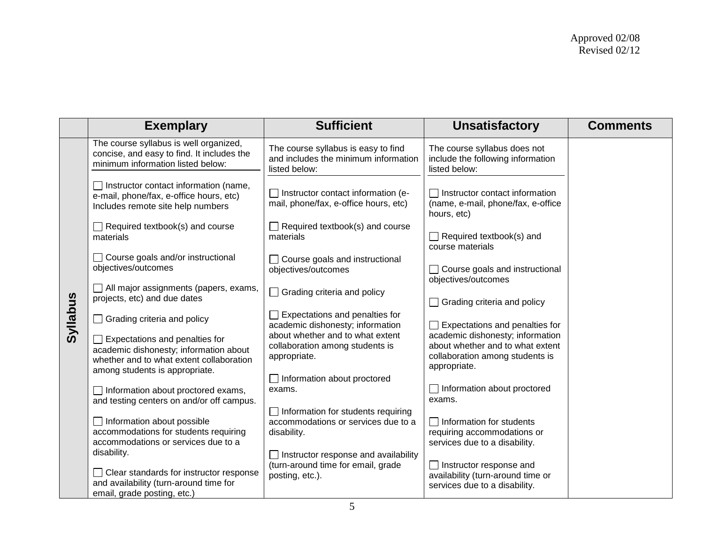|          | <b>Exemplary</b>                                                                                                                 | <b>Sufficient</b>                                                                               | <b>Unsatisfactory</b>                                                                                                   | <b>Comments</b> |
|----------|----------------------------------------------------------------------------------------------------------------------------------|-------------------------------------------------------------------------------------------------|-------------------------------------------------------------------------------------------------------------------------|-----------------|
|          | The course syllabus is well organized,<br>concise, and easy to find. It includes the<br>minimum information listed below:        | The course syllabus is easy to find<br>and includes the minimum information<br>listed below:    | The course syllabus does not<br>include the following information<br>listed below:                                      |                 |
|          | $\Box$ Instructor contact information (name,<br>e-mail, phone/fax, e-office hours, etc)<br>Includes remote site help numbers     | □ Instructor contact information (e-<br>mail, phone/fax, e-office hours, etc)                   | $\Box$ Instructor contact information<br>(name, e-mail, phone/fax, e-office<br>hours, etc)                              |                 |
|          | $\Box$ Required textbook(s) and course<br>materials                                                                              | $\Box$ Required textbook(s) and course<br>materials                                             | $\Box$ Required textbook(s) and<br>course materials                                                                     |                 |
|          | □ Course goals and/or instructional<br>objectives/outcomes                                                                       | Course goals and instructional<br>objectives/outcomes                                           | □ Course goals and instructional<br>objectives/outcomes                                                                 |                 |
|          | All major assignments (papers, exams,<br>projects, etc) and due dates                                                            | $\Box$ Grading criteria and policy                                                              | $\Box$ Grading criteria and policy                                                                                      |                 |
| Syllabus | Grading criteria and policy                                                                                                      | $\Box$ Expectations and penalties for<br>academic dishonesty; information                       | $\Box$ Expectations and penalties for                                                                                   |                 |
|          | Expectations and penalties for<br>academic dishonesty; information about<br>whether and to what extent collaboration             | about whether and to what extent<br>collaboration among students is<br>appropriate.             | academic dishonesty; information<br>about whether and to what extent<br>collaboration among students is<br>appropriate. |                 |
|          | among students is appropriate.                                                                                                   | Information about proctored                                                                     |                                                                                                                         |                 |
|          | $\Box$ Information about proctored exams,<br>and testing centers on and/or off campus.                                           | exams.                                                                                          | $\Box$ Information about proctored<br>exams.                                                                            |                 |
|          | $\Box$ Information about possible<br>accommodations for students requiring<br>accommodations or services due to a<br>disability. | $\Box$ Information for students requiring<br>accommodations or services due to a<br>disability. | $\Box$ Information for students<br>requiring accommodations or<br>services due to a disability.                         |                 |
|          | Clear standards for instructor response<br>and availability (turn-around time for<br>email, grade posting, etc.)                 | Instructor response and availability<br>(turn-around time for email, grade<br>posting, etc.).   | $\Box$ Instructor response and<br>availability (turn-around time or<br>services due to a disability.                    |                 |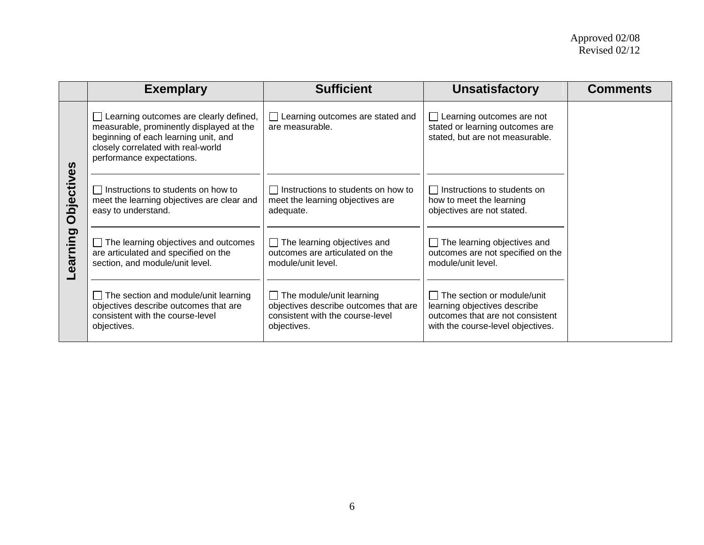|            | <b>Exemplary</b>                                                                                                                                                                              | <b>Sufficient</b>                                                                                                           | <b>Unsatisfactory</b>                                                                                                                      | <b>Comments</b> |
|------------|-----------------------------------------------------------------------------------------------------------------------------------------------------------------------------------------------|-----------------------------------------------------------------------------------------------------------------------------|--------------------------------------------------------------------------------------------------------------------------------------------|-----------------|
|            | Learning outcomes are clearly defined,<br>measurable, prominently displayed at the<br>beginning of each learning unit, and<br>closely correlated with real-world<br>performance expectations. | $\Box$ Learning outcomes are stated and<br>are measurable.                                                                  | $\Box$ Learning outcomes are not<br>stated or learning outcomes are<br>stated, but are not measurable.                                     |                 |
| Objectives | Instructions to students on how to<br>meet the learning objectives are clear and<br>easy to understand.                                                                                       | $\Box$ Instructions to students on how to<br>meet the learning objectives are<br>adequate.                                  | $\Box$ Instructions to students on<br>how to meet the learning<br>objectives are not stated.                                               |                 |
| earning    | The learning objectives and outcomes<br>are articulated and specified on the<br>section, and module/unit level.                                                                               | $\Box$ The learning objectives and<br>outcomes are articulated on the<br>module/unit level.                                 | The learning objectives and<br>outcomes are not specified on the<br>module/unit level.                                                     |                 |
|            | $\Box$ The section and module/unit learning<br>objectives describe outcomes that are<br>consistent with the course-level<br>objectives.                                                       | $\Box$ The module/unit learning<br>objectives describe outcomes that are<br>consistent with the course-level<br>objectives. | $\Box$ The section or module/unit<br>learning objectives describe<br>outcomes that are not consistent<br>with the course-level objectives. |                 |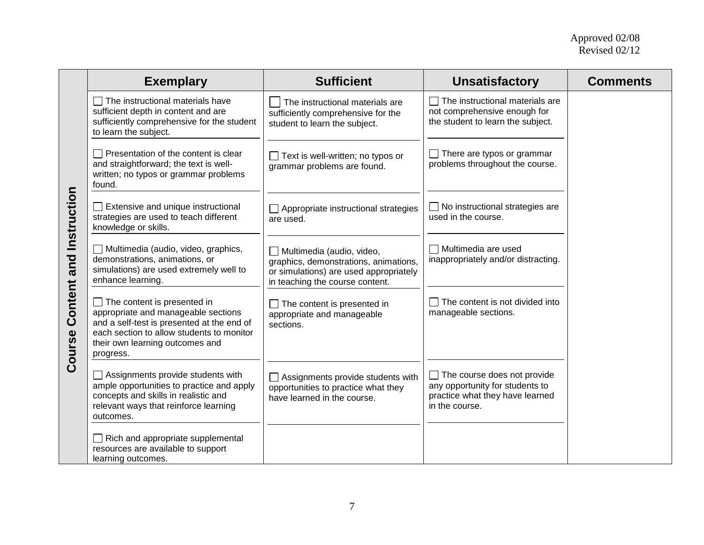|                         | <b>Exemplary</b>                                                                                                                                                                                              | <b>Sufficient</b>                                                                                                                               | <b>Unsatisfactory</b>                                                                                                      | <b>Comments</b> |
|-------------------------|---------------------------------------------------------------------------------------------------------------------------------------------------------------------------------------------------------------|-------------------------------------------------------------------------------------------------------------------------------------------------|----------------------------------------------------------------------------------------------------------------------------|-----------------|
|                         | The instructional materials have<br>sufficient depth in content and are<br>sufficiently comprehensive for the student<br>to learn the subject.                                                                | The instructional materials are<br>sufficiently comprehensive for the<br>student to learn the subject.                                          | $\Box$ The instructional materials are<br>not comprehensive enough for<br>the student to learn the subject.                |                 |
|                         | Presentation of the content is clear<br>and straightforward; the text is well-<br>written; no typos or grammar problems<br>found.                                                                             | $\Box$ Text is well-written; no typos or<br>grammar problems are found.                                                                         | There are typos or grammar<br>problems throughout the course.                                                              |                 |
|                         | Extensive and unique instructional<br>strategies are used to teach different<br>knowledge or skills.                                                                                                          | Appropriate instructional strategies<br>are used.                                                                                               | $\Box$ No instructional strategies are<br>used in the course.                                                              |                 |
| Content and Instruction | Multimedia (audio, video, graphics,<br>demonstrations, animations, or<br>simulations) are used extremely well to<br>enhance learning.                                                                         | Multimedia (audio, video,<br>graphics, demonstrations, animations,<br>or simulations) are used appropriately<br>in teaching the course content. | $\Box$ Multimedia are used<br>inappropriately and/or distracting.                                                          |                 |
| Course                  | The content is presented in<br>appropriate and manageable sections<br>and a self-test is presented at the end of<br>each section to allow students to monitor<br>their own learning outcomes and<br>progress. | $\Box$ The content is presented in<br>appropriate and manageable<br>sections.                                                                   | The content is not divided into<br>manageable sections.                                                                    |                 |
|                         | Assignments provide students with<br>ample opportunities to practice and apply<br>concepts and skills in realistic and<br>relevant ways that reinforce learning<br>outcomes.                                  | Assignments provide students with<br>opportunities to practice what they<br>have learned in the course.                                         | $\Box$ The course does not provide<br>any opportunity for students to<br>practice what they have learned<br>in the course. |                 |
|                         | Rich and appropriate supplemental<br>resources are available to support<br>learning outcomes.                                                                                                                 |                                                                                                                                                 |                                                                                                                            |                 |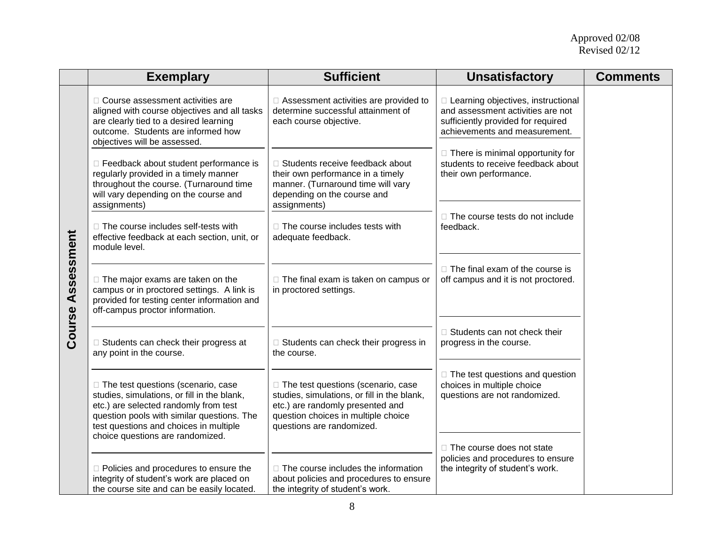|            | <b>Exemplary</b>                                                                                                                                                                                                     | <b>Sufficient</b>                                                                                                                                                                           | <b>Unsatisfactory</b>                                                                                                                            | <b>Comments</b> |
|------------|----------------------------------------------------------------------------------------------------------------------------------------------------------------------------------------------------------------------|---------------------------------------------------------------------------------------------------------------------------------------------------------------------------------------------|--------------------------------------------------------------------------------------------------------------------------------------------------|-----------------|
|            | □ Course assessment activities are<br>aligned with course objectives and all tasks<br>are clearly tied to a desired learning<br>outcome. Students are informed how<br>objectives will be assessed.                   | □ Assessment activities are provided to<br>determine successful attainment of<br>each course objective.                                                                                     | □ Learning objectives, instructional<br>and assessment activities are not<br>sufficiently provided for required<br>achievements and measurement. |                 |
|            | □ Feedback about student performance is<br>regularly provided in a timely manner<br>throughout the course. (Turnaround time<br>will vary depending on the course and<br>assignments)                                 | □ Students receive feedback about<br>their own performance in a timely<br>manner. (Turnaround time will vary<br>depending on the course and<br>assignments)                                 | $\Box$ There is minimal opportunity for<br>students to receive feedback about<br>their own performance.                                          |                 |
|            | □ The course includes self-tests with<br>effective feedback at each section, unit, or<br>module level.                                                                                                               | □ The course includes tests with<br>adequate feedback.                                                                                                                                      | □ The course tests do not include<br>feedback.                                                                                                   |                 |
| Assessment | $\Box$ The major exams are taken on the<br>campus or in proctored settings. A link is<br>provided for testing center information and<br>off-campus proctor information.                                              | □ The final exam is taken on campus or<br>in proctored settings.                                                                                                                            | $\Box$ The final exam of the course is<br>off campus and it is not proctored.                                                                    |                 |
| Course     | □ Students can check their progress at<br>any point in the course.                                                                                                                                                   | $\Box$ Students can check their progress in<br>the course.                                                                                                                                  | □ Students can not check their<br>progress in the course.                                                                                        |                 |
|            | □ The test questions (scenario, case<br>studies, simulations, or fill in the blank,<br>etc.) are selected randomly from test<br>question pools with similar questions. The<br>test questions and choices in multiple | □ The test questions (scenario, case<br>studies, simulations, or fill in the blank,<br>etc.) are randomly presented and<br>question choices in multiple choice<br>questions are randomized. | $\Box$ The test questions and question<br>choices in multiple choice<br>questions are not randomized.                                            |                 |
|            | choice questions are randomized.<br>D Policies and procedures to ensure the<br>integrity of student's work are placed on<br>the course site and can be easily located.                                               | $\Box$ The course includes the information<br>about policies and procedures to ensure<br>the integrity of student's work.                                                                   | □ The course does not state<br>policies and procedures to ensure<br>the integrity of student's work.                                             |                 |